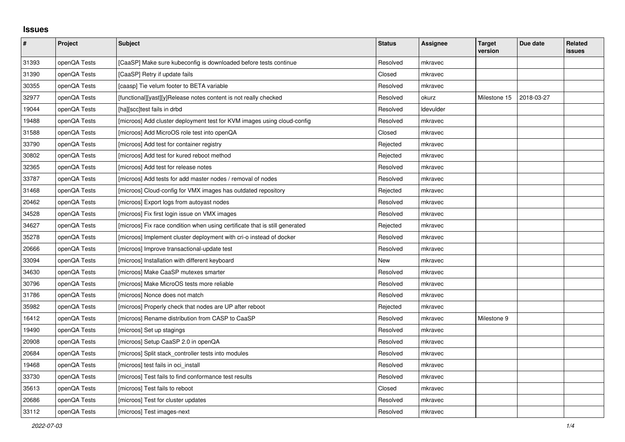## **Issues**

| $\pmb{\#}$ | Project      | Subject                                                                     | <b>Status</b> | <b>Assignee</b>  | <b>Target</b><br>version | Due date   | <b>Related</b><br>issues |
|------------|--------------|-----------------------------------------------------------------------------|---------------|------------------|--------------------------|------------|--------------------------|
| 31393      | openQA Tests | [CaaSP] Make sure kubeconfig is downloaded before tests continue            | Resolved      | mkravec          |                          |            |                          |
| 31390      | openQA Tests | [CaaSP] Retry if update fails                                               | Closed        | mkravec          |                          |            |                          |
| 30355      | openQA Tests | [caasp] Tie velum footer to BETA variable                                   | Resolved      | mkravec          |                          |            |                          |
| 32977      | openQA Tests | [functional][yast][y]Release notes content is not really checked            | Resolved      | okurz            | Milestone 15             | 2018-03-27 |                          |
| 19044      | openQA Tests | [ha][scc]test fails in drbd                                                 | Resolved      | <b>Idevulder</b> |                          |            |                          |
| 19488      | openQA Tests | [microos] Add cluster deployment test for KVM images using cloud-config     | Resolved      | mkravec          |                          |            |                          |
| 31588      | openQA Tests | [microos] Add MicroOS role test into openQA                                 | Closed        | mkravec          |                          |            |                          |
| 33790      | openQA Tests | [microos] Add test for container registry                                   | Rejected      | mkravec          |                          |            |                          |
| 30802      | openQA Tests | [microos] Add test for kured reboot method                                  | Rejected      | mkravec          |                          |            |                          |
| 32365      | openQA Tests | [microos] Add test for release notes                                        | Resolved      | mkravec          |                          |            |                          |
| 33787      | openQA Tests | [microos] Add tests for add master nodes / removal of nodes                 | Resolved      | mkravec          |                          |            |                          |
| 31468      | openQA Tests | [microos] Cloud-config for VMX images has outdated repository               | Rejected      | mkravec          |                          |            |                          |
| 20462      | openQA Tests | [microos] Export logs from autoyast nodes                                   | Resolved      | mkravec          |                          |            |                          |
| 34528      | openQA Tests | [microos] Fix first login issue on VMX images                               | Resolved      | mkravec          |                          |            |                          |
| 34627      | openQA Tests | [microos] Fix race condition when using certificate that is still generated | Rejected      | mkravec          |                          |            |                          |
| 35278      | openQA Tests | [microos] Implement cluster deployment with cri-o instead of docker         | Resolved      | mkravec          |                          |            |                          |
| 20666      | openQA Tests | [microos] Improve transactional-update test                                 | Resolved      | mkravec          |                          |            |                          |
| 33094      | openQA Tests | [microos] Installation with different keyboard                              | New           | mkravec          |                          |            |                          |
| 34630      | openQA Tests | [microos] Make CaaSP mutexes smarter                                        | Resolved      | mkravec          |                          |            |                          |
| 30796      | openQA Tests | [microos] Make MicroOS tests more reliable                                  | Resolved      | mkravec          |                          |            |                          |
| 31786      | openQA Tests | [microos] Nonce does not match                                              | Resolved      | mkravec          |                          |            |                          |
| 35982      | openQA Tests | [microos] Properly check that nodes are UP after reboot                     | Rejected      | mkravec          |                          |            |                          |
| 16412      | openQA Tests | [microos] Rename distribution from CASP to CaaSP                            | Resolved      | mkravec          | Milestone 9              |            |                          |
| 19490      | openQA Tests | [microos] Set up stagings                                                   | Resolved      | mkravec          |                          |            |                          |
| 20908      | openQA Tests | [microos] Setup CaaSP 2.0 in openQA                                         | Resolved      | mkravec          |                          |            |                          |
| 20684      | openQA Tests | [microos] Split stack_controller tests into modules                         | Resolved      | mkravec          |                          |            |                          |
| 19468      | openQA Tests | [microos] test fails in oci_install                                         | Resolved      | mkravec          |                          |            |                          |
| 33730      | openQA Tests | [microos] Test fails to find conformance test results                       | Resolved      | mkravec          |                          |            |                          |
| 35613      | openQA Tests | [microos] Test fails to reboot                                              | Closed        | mkravec          |                          |            |                          |
| 20686      | openQA Tests | [microos] Test for cluster updates                                          | Resolved      | mkravec          |                          |            |                          |
| 33112      | openQA Tests | [microos] Test images-next                                                  | Resolved      | mkravec          |                          |            |                          |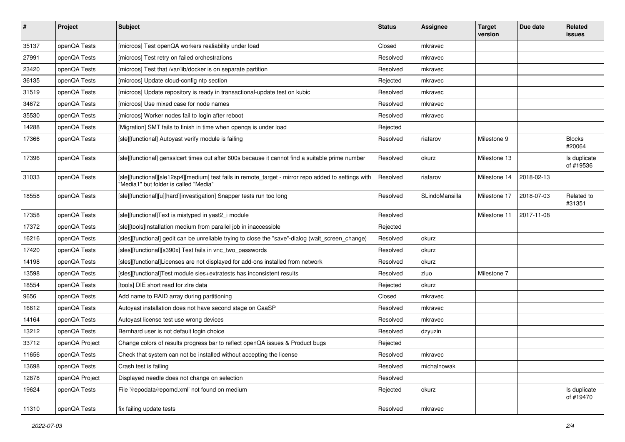| $\pmb{\#}$ | Project        | <b>Subject</b>                                                                                                                                | <b>Status</b> | <b>Assignee</b> | <b>Target</b><br>version | Due date   | Related<br>issues         |
|------------|----------------|-----------------------------------------------------------------------------------------------------------------------------------------------|---------------|-----------------|--------------------------|------------|---------------------------|
| 35137      | openQA Tests   | [microos] Test openQA workers realiability under load                                                                                         | Closed        | mkravec         |                          |            |                           |
| 27991      | openQA Tests   | [microos] Test retry on failed orchestrations                                                                                                 | Resolved      | mkravec         |                          |            |                           |
| 23420      | openQA Tests   | [microos] Test that /var/lib/docker is on separate partition                                                                                  | Resolved      | mkravec         |                          |            |                           |
| 36135      | openQA Tests   | [microos] Update cloud-config ntp section                                                                                                     | Rejected      | mkravec         |                          |            |                           |
| 31519      | openQA Tests   | [microos] Update repository is ready in transactional-update test on kubic                                                                    | Resolved      | mkravec         |                          |            |                           |
| 34672      | openQA Tests   | [microos] Use mixed case for node names                                                                                                       | Resolved      | mkravec         |                          |            |                           |
| 35530      | openQA Tests   | [microos] Worker nodes fail to login after reboot                                                                                             | Resolved      | mkravec         |                          |            |                           |
| 14288      | openQA Tests   | [Migration] SMT fails to finish in time when openqa is under load                                                                             | Rejected      |                 |                          |            |                           |
| 17366      | openQA Tests   | [sle][functional] Autoyast verify module is failing                                                                                           | Resolved      | riafarov        | Milestone 9              |            | <b>Blocks</b><br>#20064   |
| 17396      | openQA Tests   | [sle][functional] gensslcert times out after 600s because it cannot find a suitable prime number                                              | Resolved      | okurz           | Milestone 13             |            | Is duplicate<br>of #19536 |
| 31033      | openQA Tests   | [sle][functional][sle12sp4][medium] test fails in remote_target - mirror repo added to settings with<br>"Media1" but folder is called "Media" | Resolved      | riafarov        | Milestone 14             | 2018-02-13 |                           |
| 18558      | openQA Tests   | [sle][functional][u][hard][investigation] Snapper tests run too long                                                                          | Resolved      | SLindoMansilla  | Milestone 17             | 2018-07-03 | Related to<br>#31351      |
| 17358      | openQA Tests   | [sle][functional]Text is mistyped in yast2_i module                                                                                           | Resolved      |                 | Milestone 11             | 2017-11-08 |                           |
| 17372      | openQA Tests   | [sle][tools]Installation medium from parallel job in inaccessible                                                                             | Rejected      |                 |                          |            |                           |
| 16216      | openQA Tests   | [sles][functional] gedit can be unreliable trying to close the "save"-dialog (wait_screen_change)                                             | Resolved      | okurz           |                          |            |                           |
| 17420      | openQA Tests   | [sles][functional][s390x] Test fails in vnc_two_passwords                                                                                     | Resolved      | okurz           |                          |            |                           |
| 14198      | openQA Tests   | [sles][functional]Licenses are not displayed for add-ons installed from network                                                               | Resolved      | okurz           |                          |            |                           |
| 13598      | openQA Tests   | [sles][functional]Test module sles+extratests has inconsistent results                                                                        | Resolved      | zluo            | Milestone 7              |            |                           |
| 18554      | openQA Tests   | [tools] DIE short read for zire data                                                                                                          | Rejected      | okurz           |                          |            |                           |
| 9656       | openQA Tests   | Add name to RAID array during partitioning                                                                                                    | Closed        | mkravec         |                          |            |                           |
| 16612      | openQA Tests   | Autoyast installation does not have second stage on CaaSP                                                                                     | Resolved      | mkravec         |                          |            |                           |
| 14164      | openQA Tests   | Autovast license test use wrong devices                                                                                                       | Resolved      | mkravec         |                          |            |                           |
| 13212      | openQA Tests   | Bernhard user is not default login choice                                                                                                     | Resolved      | dzyuzin         |                          |            |                           |
| 33712      | openQA Project | Change colors of results progress bar to reflect openQA issues & Product bugs                                                                 | Rejected      |                 |                          |            |                           |
| 11656      | openQA Tests   | Check that system can not be installed without accepting the license                                                                          | Resolved      | mkravec         |                          |            |                           |
| 13698      | openQA Tests   | Crash test is failing                                                                                                                         | Resolved      | michalnowak     |                          |            |                           |
| 12878      | openQA Project | Displayed needle does not change on selection                                                                                                 | Resolved      |                 |                          |            |                           |
| 19624      | openQA Tests   | File '/repodata/repomd.xml' not found on medium                                                                                               | Rejected      | okurz           |                          |            | Is duplicate<br>of #19470 |
| 11310      | openQA Tests   | fix failing update tests                                                                                                                      | Resolved      | mkravec         |                          |            |                           |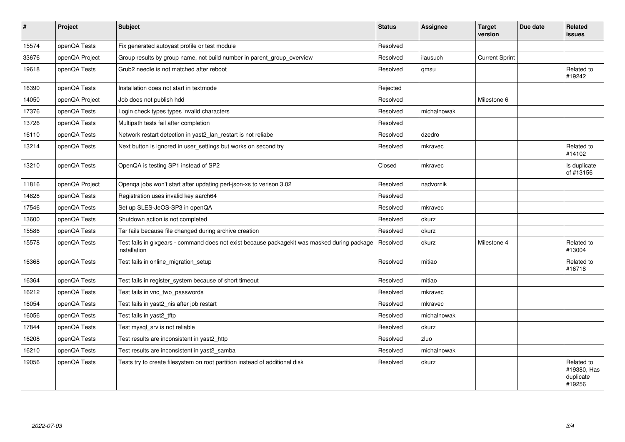| $\sharp$ | Project        | Subject                                                                                                      | <b>Status</b> | Assignee    | <b>Target</b><br>version | Due date | <b>Related</b><br>issues                         |
|----------|----------------|--------------------------------------------------------------------------------------------------------------|---------------|-------------|--------------------------|----------|--------------------------------------------------|
| 15574    | openQA Tests   | Fix generated autoyast profile or test module                                                                | Resolved      |             |                          |          |                                                  |
| 33676    | openQA Project | Group results by group name, not build number in parent_group_overview                                       | Resolved      | ilausuch    | <b>Current Sprint</b>    |          |                                                  |
| 19618    | openQA Tests   | Grub <sub>2</sub> needle is not matched after reboot                                                         | Resolved      | qmsu        |                          |          | Related to<br>#19242                             |
| 16390    | openQA Tests   | Installation does not start in textmode                                                                      | Rejected      |             |                          |          |                                                  |
| 14050    | openQA Project | Job does not publish hdd                                                                                     | Resolved      |             | Milestone 6              |          |                                                  |
| 17376    | openQA Tests   | Login check types types invalid characters                                                                   | Resolved      | michalnowak |                          |          |                                                  |
| 13726    | openQA Tests   | Multipath tests fail after completion                                                                        | Resolved      |             |                          |          |                                                  |
| 16110    | openQA Tests   | Network restart detection in yast2_lan_restart is not reliabe                                                | Resolved      | dzedro      |                          |          |                                                  |
| 13214    | openQA Tests   | Next button is ignored in user_settings but works on second try                                              | Resolved      | mkravec     |                          |          | Related to<br>#14102                             |
| 13210    | openQA Tests   | OpenQA is testing SP1 instead of SP2                                                                         | Closed        | mkravec     |                          |          | Is duplicate<br>of #13156                        |
| 11816    | openQA Project | Openqa jobs won't start after updating perl-json-xs to verison 3.02                                          | Resolved      | nadvornik   |                          |          |                                                  |
| 14828    | openQA Tests   | Registration uses invalid key aarch64                                                                        | Resolved      |             |                          |          |                                                  |
| 17546    | openQA Tests   | Set up SLES-JeOS-SP3 in openQA                                                                               | Resolved      | mkravec     |                          |          |                                                  |
| 13600    | openQA Tests   | Shutdown action is not completed                                                                             | Resolved      | okurz       |                          |          |                                                  |
| 15586    | openQA Tests   | Tar fails because file changed during archive creation                                                       | Resolved      | okurz       |                          |          |                                                  |
| 15578    | openQA Tests   | Test fails in glxgears - command does not exist because packagekit was masked during package<br>installation | Resolved      | okurz       | Milestone 4              |          | Related to<br>#13004                             |
| 16368    | openQA Tests   | Test fails in online migration setup                                                                         | Resolved      | mitiao      |                          |          | Related to<br>#16718                             |
| 16364    | openQA Tests   | Test fails in register system because of short timeout                                                       | Resolved      | mitiao      |                          |          |                                                  |
| 16212    | openQA Tests   | Test fails in vnc_two_passwords                                                                              | Resolved      | mkravec     |                          |          |                                                  |
| 16054    | openQA Tests   | Test fails in yast2_nis after job restart                                                                    | Resolved      | mkravec     |                          |          |                                                  |
| 16056    | openQA Tests   | Test fails in yast2 tftp                                                                                     | Resolved      | michalnowak |                          |          |                                                  |
| 17844    | openQA Tests   | Test mysql_srv is not reliable                                                                               | Resolved      | okurz       |                          |          |                                                  |
| 16208    | openQA Tests   | Test results are inconsistent in yast2 http                                                                  | Resolved      | zluo        |                          |          |                                                  |
| 16210    | openQA Tests   | Test results are inconsistent in yast2_samba                                                                 | Resolved      | michalnowak |                          |          |                                                  |
| 19056    | openQA Tests   | Tests try to create filesystem on root partition instead of additional disk                                  | Resolved      | okurz       |                          |          | Related to<br>#19380, Has<br>duplicate<br>#19256 |